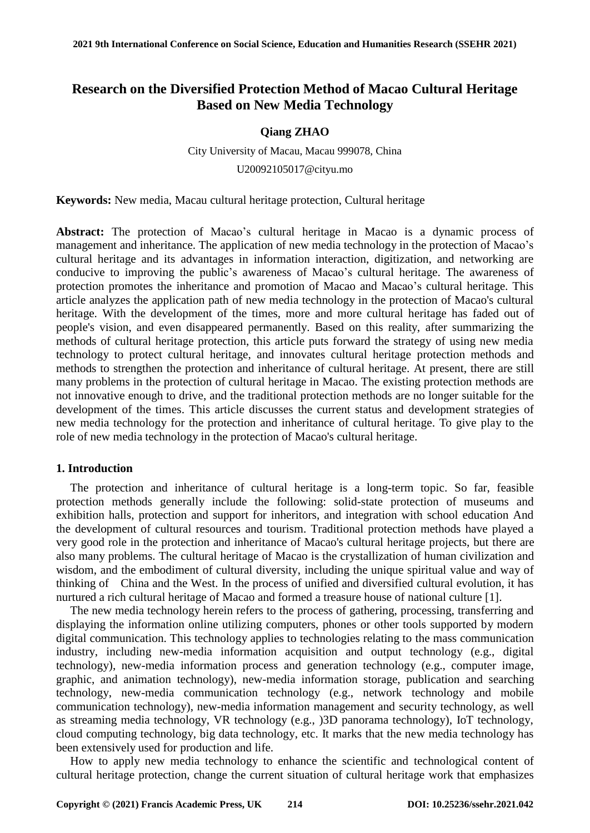# **Research on the Diversified Protection Method of Macao Cultural Heritage Based on New Media Technology**

# **Qiang ZHAO**

City University of Macau, Macau 999078, China U20092105017@cityu.mo

**Keywords:** New media, Macau cultural heritage protection, Cultural heritage

**Abstract:** The protection of Macao's cultural heritage in Macao is a dynamic process of management and inheritance. The application of new media technology in the protection of Macao's cultural heritage and its advantages in information interaction, digitization, and networking are conducive to improving the public's awareness of Macao's cultural heritage. The awareness of protection promotes the inheritance and promotion of Macao and Macao's cultural heritage. This article analyzes the application path of new media technology in the protection of Macao's cultural heritage. With the development of the times, more and more cultural heritage has faded out of people's vision, and even disappeared permanently. Based on this reality, after summarizing the methods of cultural heritage protection, this article puts forward the strategy of using new media technology to protect cultural heritage, and innovates cultural heritage protection methods and methods to strengthen the protection and inheritance of cultural heritage. At present, there are still many problems in the protection of cultural heritage in Macao. The existing protection methods are not innovative enough to drive, and the traditional protection methods are no longer suitable for the development of the times. This article discusses the current status and development strategies of new media technology for the protection and inheritance of cultural heritage. To give play to the role of new media technology in the protection of Macao's cultural heritage.

## **1. Introduction**

The protection and inheritance of cultural heritage is a long-term topic. So far, feasible protection methods generally include the following: solid-state protection of museums and exhibition halls, protection and support for inheritors, and integration with school education And the development of cultural resources and tourism. Traditional protection methods have played a very good role in the protection and inheritance of Macao's cultural heritage projects, but there are also many problems. The cultural heritage of Macao is the crystallization of human civilization and wisdom, and the embodiment of cultural diversity, including the unique spiritual value and way of thinking of China and the West. In the process of unified and diversified cultural evolution, it has nurtured a rich cultural heritage of Macao and formed a treasure house of national culture [1].

The new media technology herein refers to the process of gathering, processing, transferring and displaying the information online utilizing computers, phones or other tools supported by modern digital communication. This technology applies to technologies relating to the mass communication industry, including new-media information acquisition and output technology (e.g., digital technology), new-media information process and generation technology (e.g., computer image, graphic, and animation technology), new-media information storage, publication and searching technology, new-media communication technology (e.g., network technology and mobile communication technology), new-media information management and security technology, as well as streaming media technology, VR technology (e.g., )3D panorama technology), IoT technology, cloud computing technology, big data technology, etc. It marks that the new media technology has been extensively used for production and life.

How to apply new media technology to enhance the scientific and technological content of cultural heritage protection, change the current situation of cultural heritage work that emphasizes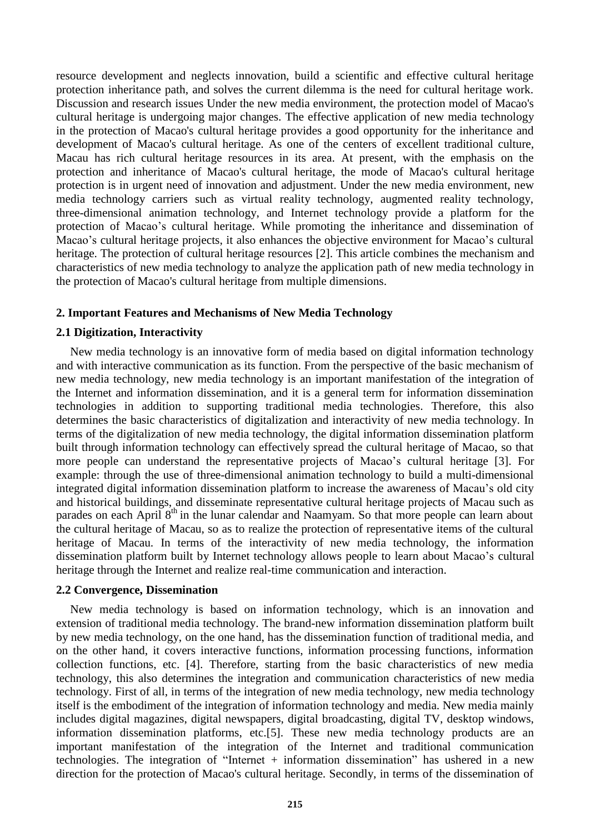resource development and neglects innovation, build a scientific and effective cultural heritage protection inheritance path, and solves the current dilemma is the need for cultural heritage work. Discussion and research issues Under the new media environment, the protection model of Macao's cultural heritage is undergoing major changes. The effective application of new media technology in the protection of Macao's cultural heritage provides a good opportunity for the inheritance and development of Macao's cultural heritage. As one of the centers of excellent traditional culture, Macau has rich cultural heritage resources in its area. At present, with the emphasis on the protection and inheritance of Macao's cultural heritage, the mode of Macao's cultural heritage protection is in urgent need of innovation and adjustment. Under the new media environment, new media technology carriers such as virtual reality technology, augmented reality technology, three-dimensional animation technology, and Internet technology provide a platform for the protection of Macao's cultural heritage. While promoting the inheritance and dissemination of Macao's cultural heritage projects, it also enhances the objective environment for Macao's cultural heritage. The protection of cultural heritage resources [2]. This article combines the mechanism and characteristics of new media technology to analyze the application path of new media technology in the protection of Macao's cultural heritage from multiple dimensions.

## **2. Important Features and Mechanisms of New Media Technology**

#### **2.1 Digitization, Interactivity**

New media technology is an innovative form of media based on digital information technology and with interactive communication as its function. From the perspective of the basic mechanism of new media technology, new media technology is an important manifestation of the integration of the Internet and information dissemination, and it is a general term for information dissemination technologies in addition to supporting traditional media technologies. Therefore, this also determines the basic characteristics of digitalization and interactivity of new media technology. In terms of the digitalization of new media technology, the digital information dissemination platform built through information technology can effectively spread the cultural heritage of Macao, so that more people can understand the representative projects of Macao's cultural heritage [3]. For example: through the use of three-dimensional animation technology to build a multi-dimensional integrated digital information dissemination platform to increase the awareness of Macau's old city and historical buildings, and disseminate representative cultural heritage projects of Macau such as parades on each April  $8<sup>th</sup>$  in the lunar calendar and Naamyam. So that more people can learn about the cultural heritage of Macau, so as to realize the protection of representative items of the cultural heritage of Macau. In terms of the interactivity of new media technology, the information dissemination platform built by Internet technology allows people to learn about Macao's cultural heritage through the Internet and realize real-time communication and interaction.

#### **2.2 Convergence, Dissemination**

New media technology is based on information technology, which is an innovation and extension of traditional media technology. The brand-new information dissemination platform built by new media technology, on the one hand, has the dissemination function of traditional media, and on the other hand, it covers interactive functions, information processing functions, information collection functions, etc. [4]. Therefore, starting from the basic characteristics of new media technology, this also determines the integration and communication characteristics of new media technology. First of all, in terms of the integration of new media technology, new media technology itself is the embodiment of the integration of information technology and media. New media mainly includes digital magazines, digital newspapers, digital broadcasting, digital TV, desktop windows, information dissemination platforms, etc.[5]. These new media technology products are an important manifestation of the integration of the Internet and traditional communication technologies. The integration of "Internet + information dissemination" has ushered in a new direction for the protection of Macao's cultural heritage. Secondly, in terms of the dissemination of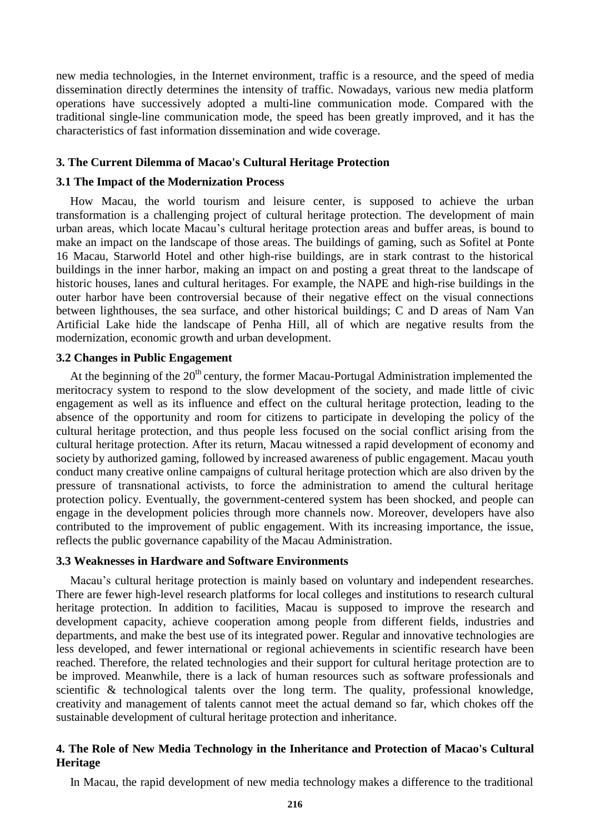new media technologies, in the Internet environment, traffic is a resource, and the speed of media dissemination directly determines the intensity of traffic. Nowadays, various new media platform operations have successively adopted a multi-line communication mode. Compared with the traditional single-line communication mode, the speed has been greatly improved, and it has the characteristics of fast information dissemination and wide coverage.

#### **3. The Current Dilemma of Macao's Cultural Heritage Protection**

#### **3.1 The Impact of the Modernization Process**

How Macau, the world tourism and leisure center, is supposed to achieve the urban transformation is a challenging project of cultural heritage protection. The development of main urban areas, which locate Macau's cultural heritage protection areas and buffer areas, is bound to make an impact on the landscape of those areas. The buildings of gaming, such as Sofitel at Ponte 16 Macau, Starworld Hotel and other high-rise buildings, are in stark contrast to the historical buildings in the inner harbor, making an impact on and posting a great threat to the landscape of historic houses, lanes and cultural heritages. For example, the NAPE and high-rise buildings in the outer harbor have been controversial because of their negative effect on the visual connections between lighthouses, the sea surface, and other historical buildings; C and D areas of Nam Van Artificial Lake hide the landscape of Penha Hill, all of which are negative results from the modernization, economic growth and urban development.

## **3.2 Changes in Public Engagement**

At the beginning of the  $20<sup>th</sup>$  century, the former Macau-Portugal Administration implemented the meritocracy system to respond to the slow development of the society, and made little of civic engagement as well as its influence and effect on the cultural heritage protection, leading to the absence of the opportunity and room for citizens to participate in developing the policy of the cultural heritage protection, and thus people less focused on the social conflict arising from the cultural heritage protection. After its return, Macau witnessed a rapid development of economy and society by authorized gaming, followed by increased awareness of public engagement. Macau youth conduct many creative online campaigns of cultural heritage protection which are also driven by the pressure of transnational activists, to force the administration to amend the cultural heritage protection policy. Eventually, the government-centered system has been shocked, and people can engage in the development policies through more channels now. Moreover, developers have also contributed to the improvement of public engagement. With its increasing importance, the issue, reflects the public governance capability of the Macau Administration.

## **3.3 Weaknesses in Hardware and Software Environments**

Macau's cultural heritage protection is mainly based on voluntary and independent researches. There are fewer high-level research platforms for local colleges and institutions to research cultural heritage protection. In addition to facilities, Macau is supposed to improve the research and development capacity, achieve cooperation among people from different fields, industries and departments, and make the best use of its integrated power. Regular and innovative technologies are less developed, and fewer international or regional achievements in scientific research have been reached. Therefore, the related technologies and their support for cultural heritage protection are to be improved. Meanwhile, there is a lack of human resources such as software professionals and scientific & technological talents over the long term. The quality, professional knowledge, creativity and management of talents cannot meet the actual demand so far, which chokes off the sustainable development of cultural heritage protection and inheritance.

## **4. The Role of New Media Technology in the Inheritance and Protection of Macao's Cultural Heritage**

In Macau, the rapid development of new media technology makes a difference to the traditional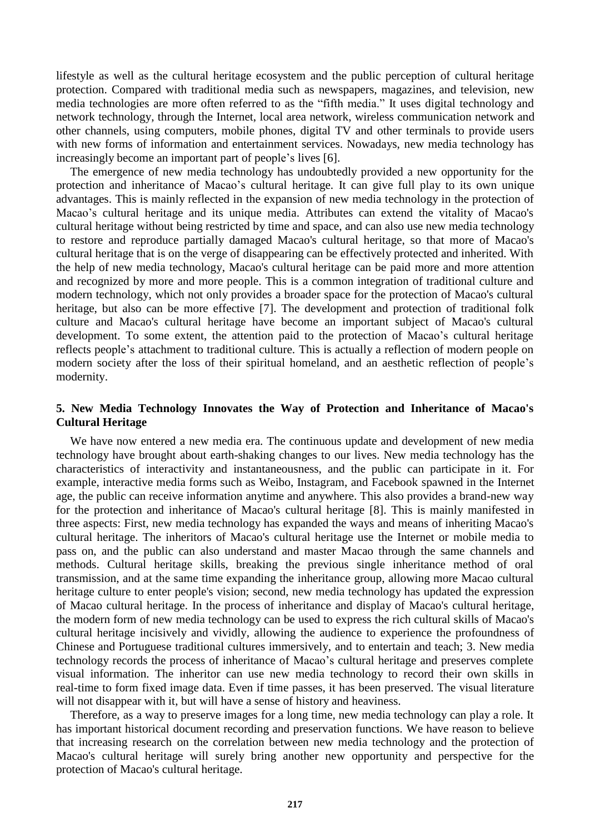lifestyle as well as the cultural heritage ecosystem and the public perception of cultural heritage protection. Compared with traditional media such as newspapers, magazines, and television, new media technologies are more often referred to as the "fifth media." It uses digital technology and network technology, through the Internet, local area network, wireless communication network and other channels, using computers, mobile phones, digital TV and other terminals to provide users with new forms of information and entertainment services. Nowadays, new media technology has increasingly become an important part of people's lives [6].

The emergence of new media technology has undoubtedly provided a new opportunity for the protection and inheritance of Macao's cultural heritage. It can give full play to its own unique advantages. This is mainly reflected in the expansion of new media technology in the protection of Macao's cultural heritage and its unique media. Attributes can extend the vitality of Macao's cultural heritage without being restricted by time and space, and can also use new media technology to restore and reproduce partially damaged Macao's cultural heritage, so that more of Macao's cultural heritage that is on the verge of disappearing can be effectively protected and inherited. With the help of new media technology, Macao's cultural heritage can be paid more and more attention and recognized by more and more people. This is a common integration of traditional culture and modern technology, which not only provides a broader space for the protection of Macao's cultural heritage, but also can be more effective [7]. The development and protection of traditional folk culture and Macao's cultural heritage have become an important subject of Macao's cultural development. To some extent, the attention paid to the protection of Macao's cultural heritage reflects people's attachment to traditional culture. This is actually a reflection of modern people on modern society after the loss of their spiritual homeland, and an aesthetic reflection of people's modernity.

## **5. New Media Technology Innovates the Way of Protection and Inheritance of Macao's Cultural Heritage**

We have now entered a new media era. The continuous update and development of new media technology have brought about earth-shaking changes to our lives. New media technology has the characteristics of interactivity and instantaneousness, and the public can participate in it. For example, interactive media forms such as Weibo, Instagram, and Facebook spawned in the Internet age, the public can receive information anytime and anywhere. This also provides a brand-new way for the protection and inheritance of Macao's cultural heritage [8]. This is mainly manifested in three aspects: First, new media technology has expanded the ways and means of inheriting Macao's cultural heritage. The inheritors of Macao's cultural heritage use the Internet or mobile media to pass on, and the public can also understand and master Macao through the same channels and methods. Cultural heritage skills, breaking the previous single inheritance method of oral transmission, and at the same time expanding the inheritance group, allowing more Macao cultural heritage culture to enter people's vision; second, new media technology has updated the expression of Macao cultural heritage. In the process of inheritance and display of Macao's cultural heritage, the modern form of new media technology can be used to express the rich cultural skills of Macao's cultural heritage incisively and vividly, allowing the audience to experience the profoundness of Chinese and Portuguese traditional cultures immersively, and to entertain and teach; 3. New media technology records the process of inheritance of Macao's cultural heritage and preserves complete visual information. The inheritor can use new media technology to record their own skills in real-time to form fixed image data. Even if time passes, it has been preserved. The visual literature will not disappear with it, but will have a sense of history and heaviness.

Therefore, as a way to preserve images for a long time, new media technology can play a role. It has important historical document recording and preservation functions. We have reason to believe that increasing research on the correlation between new media technology and the protection of Macao's cultural heritage will surely bring another new opportunity and perspective for the protection of Macao's cultural heritage.